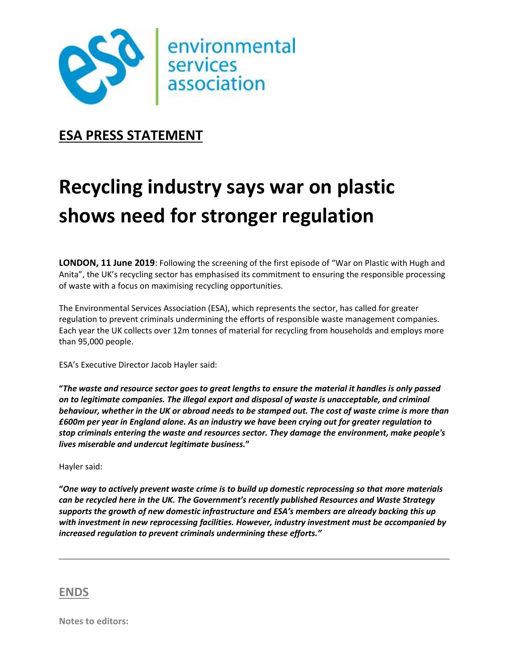

## **ESA PRESS STATEMENT**

# **Recycling industry says war on plastic shows need for stronger regulation**

**LONDON, 11 June 2019**: Following the screening of the first episode of "War on Plastic with Hugh and Anita", the UK's recycling sector has emphasised its commitment to ensuring the responsible processing of waste with a focus on maximising recycling opportunities.

The Environmental Services Association (ESA), which represents the sector, has called for greater regulation to prevent criminals undermining the efforts of responsible waste management companies. Each year the UK collects over 12m tonnes of material for recycling from households and employs more than 95,000 people.

ESA's Executive Director Jacob Hayler said:

**"***The waste and resource sector goes to great lengths to ensure the material it handles is only passed on to legitimate companies. The illegal export and disposal of waste is unacceptable, and criminal behaviour, whether in the UK or abroad needs to be stamped out. The cost of waste crime is more than £600m per year in England alone. As an industry we have been crying out for greater regulation to stop criminals entering the waste and resources sector. They damage the environment, make people's lives miserable and undercut legitimate business.***"**

#### Hayler said:

**"***One way to actively prevent waste crime is to build up domestic reprocessing so that more materials can be recycled here in the UK. The Government's recently published Resources and Waste Strategy supports the growth of new domestic infrastructure and ESA's members are already backing this up with investment in new reprocessing facilities. However, industry investment must be accompanied by increased regulation to prevent criminals undermining these efforts."*

#### **ENDS**

**Notes to editors:**